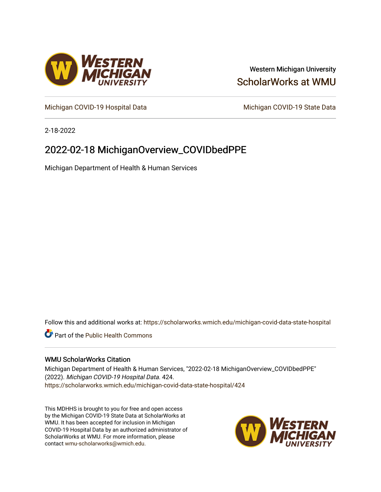

## Western Michigan University [ScholarWorks at WMU](https://scholarworks.wmich.edu/)

[Michigan COVID-19 Hospital Data](https://scholarworks.wmich.edu/michigan-covid-data-state-hospital) Michigan COVID-19 State Data

2-18-2022

## 2022-02-18 MichiganOverview\_COVIDbedPPE

Michigan Department of Health & Human Services

Follow this and additional works at: [https://scholarworks.wmich.edu/michigan-covid-data-state-hospital](https://scholarworks.wmich.edu/michigan-covid-data-state-hospital?utm_source=scholarworks.wmich.edu%2Fmichigan-covid-data-state-hospital%2F424&utm_medium=PDF&utm_campaign=PDFCoverPages) 

**Part of the Public Health Commons** 

#### WMU ScholarWorks Citation

Michigan Department of Health & Human Services, "2022-02-18 MichiganOverview\_COVIDbedPPE" (2022). Michigan COVID-19 Hospital Data. 424. [https://scholarworks.wmich.edu/michigan-covid-data-state-hospital/424](https://scholarworks.wmich.edu/michigan-covid-data-state-hospital/424?utm_source=scholarworks.wmich.edu%2Fmichigan-covid-data-state-hospital%2F424&utm_medium=PDF&utm_campaign=PDFCoverPages) 

This MDHHS is brought to you for free and open access by the Michigan COVID-19 State Data at ScholarWorks at WMU. It has been accepted for inclusion in Michigan COVID-19 Hospital Data by an authorized administrator of ScholarWorks at WMU. For more information, please contact [wmu-scholarworks@wmich.edu](mailto:wmu-scholarworks@wmich.edu).

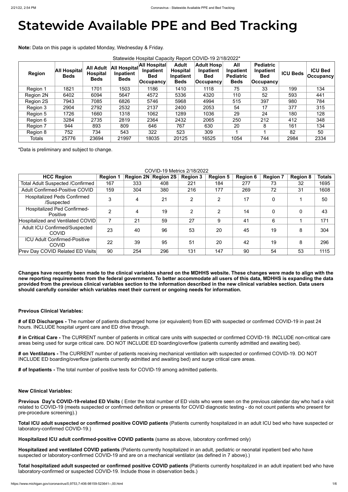# **Statewide Available PPE and Bed Tracking**

**Note:** Data on this page is updated Monday, Wednesday & Friday.

| <b>Region</b> | <b>All Hospital</b><br><b>Beds</b> | <b>All Adult</b><br><b>Hospital</b><br><b>Beds</b> | All Hospital<br>Inpatient<br><b>Beds</b> | <b>All Hospital</b><br>Inpatient<br><b>Bed</b><br> Occupancy <del> </del> | <b>Adult</b><br><b>Hospital</b><br>Inpatient<br><b>Beds</b> | <b>Adult Hosp</b><br>Inpatient<br><b>Bed</b><br>Occupancy | All<br>Inpatient<br><b>Pediatric</b><br><b>Beds</b> | <b>Pediatric</b><br>Inpatient<br><b>Bed</b><br>$ $ Occupancy | <b>ICU Beds</b> | <b>ICU Bed</b><br>$ $ Occupancy $ $ |
|---------------|------------------------------------|----------------------------------------------------|------------------------------------------|---------------------------------------------------------------------------|-------------------------------------------------------------|-----------------------------------------------------------|-----------------------------------------------------|--------------------------------------------------------------|-----------------|-------------------------------------|
| Region 1      | 1821                               | 1701                                               | 1503                                     | 1186                                                                      | 1410                                                        | 1118                                                      | 75                                                  | 33                                                           | 199             | 134                                 |
| Region 2N     | 6402                               | 6094                                               | 5647                                     | 4572                                                                      | 5336                                                        | 4320                                                      | 110                                                 | 52                                                           | 593             | 441                                 |
| Region 2S     | 7943                               | 7085                                               | 6826                                     | 5746                                                                      | 5968                                                        | 4994                                                      | 515                                                 | 397                                                          | 980             | 784                                 |
| Region 3      | 2904                               | 2792                                               | 2532                                     | 2137                                                                      | 2400                                                        | 2053                                                      | 54                                                  | 17                                                           | 377             | 315                                 |
| Region 5      | 1726                               | 1660                                               | 1318                                     | 1062                                                                      | 1289                                                        | 1036                                                      | 29                                                  | 24                                                           | 180             | 128                                 |
| Region 6      | 3284                               | 2735                                               | 2819                                     | 2364                                                                      | 2432                                                        | 2065                                                      | 250                                                 | 212                                                          | 412             | 348                                 |
| Region 7      | 944                                | 893                                                | 809                                      | 646                                                                       | 767                                                         | 630                                                       | 20                                                  | 8                                                            | 161             | 134                                 |
| Region 8      | 752                                | 734                                                | 543                                      | 322                                                                       | 523                                                         | 309                                                       |                                                     |                                                              | 82              | 50                                  |
| <b>Totals</b> | 25776                              | 23694                                              | 21997                                    | 18035                                                                     | 20125                                                       | 16525                                                     | 1054                                                | 744                                                          | 2984            | 2334                                |

\*Data is preliminary and subject to change.

#### COVID-19 Metrics 2/18/2022

| <b>HCC Region</b>                                     | <b>Region 1</b> |     | Region 2N Region 2S | <b>Region 3</b> | <b>Region 5</b> | <b>Region 6</b> | <b>Region 7</b> | <b>Region 8</b> | <b>Totals</b> |
|-------------------------------------------------------|-----------------|-----|---------------------|-----------------|-----------------|-----------------|-----------------|-----------------|---------------|
| <b>Total Adult Suspected /Confirmed</b>               | 167             | 333 | 408                 | 221             | 184             | 277             | 73              | 32              | 1695          |
| <b>Adult Confirmed-Positive COVID</b>                 | 159             | 304 | 380                 | 216             | 177             | 269             | 72              | 31              | 1608          |
| <b>Hospitalized Peds Confirmed</b><br>/Suspected      | 3               | 4   | 21                  | $\overline{2}$  | $\overline{2}$  | 17              | $\overline{0}$  |                 | 50            |
| <b>Hospitalized Ped Confirmed-</b><br><b>Positive</b> | C               |     | 19                  | ◠               | $\overline{2}$  | 14              | $\overline{0}$  | 0               | 43            |
| Hospitalized and Ventilated COVID                     |                 | 21  | 59                  | 27              | 9               | 41              | 6               |                 | 171           |
| <b>Adult ICU Confirmed/Suspected</b><br><b>COVID</b>  | 23              | 40  | 96                  | 53              | 20              | 45              | 19              | 8               | 304           |
| <b>ICU Adult Confirmed-Positive</b><br><b>COVID</b>   | 22              | 39  | 95                  | 51              | 20              | 42              | 19              | 8               | 296           |
| <b>Prev Day COVID Related ED Visits</b>               | 90              | 254 | 296                 | 131             | 147             | 90              | 54              | 53              | 1115          |

**Changes have recently been made to the clinical variables shared on the MDHHS website. These changes were made to align with the new reporting requirements from the federal government. To better accommodate all users of this data, MDHHS is expanding the data provided from the previous clinical variables section to the information described in the new clinical variables section. Data users should carefully consider which variables meet their current or ongoing needs for information.**

#### **Previous Clinical Variables:**

**# of ED Discharges -** The number of patients discharged home (or equivalent) from ED with suspected or confirmed COVID-19 in past 24 hours. INCLUDE hospital urgent care and ED drive through.

**# in Critical Care -** The CURRENT number of patients in critical care units with suspected or confirmed COVID-19. INCLUDE non-critical care areas being used for surge critical care. DO NOT INCLUDE ED boarding/overflow (patients currently admitted and awaiting bed).

**# on Ventilators -** The CURRENT number of patients receiving mechanical ventilation with suspected or confirmed COVID-19. DO NOT INCLUDE ED boarding/overflow (patients currently admitted and awaiting bed) and surge critical care areas.

**# of Inpatients -** The total number of positive tests for COVID-19 among admitted patients.

#### **New Clinical Variables:**

**Previous Day's COVID-19-related ED Visits** ( Enter the total number of ED visits who were seen on the previous calendar day who had a visit related to COVID-19 (meets suspected or confirmed definition or presents for COVID diagnostic testing - do not count patients who present for pre-procedure screening).)

**Total ICU adult suspected or confirmed positive COVID patients** (Patients currently hospitalized in an adult ICU bed who have suspected or laboratory-confirmed COVID-19.)

**Hospitalized ICU adult confirmed-positive COVID patients** (same as above, laboratory confirmed only)

**Hospitalized and ventilated COVID patients** (Patients currently hospitalized in an adult, pediatric or neonatal inpatient bed who have suspected or laboratory-confirmed COVID-19 and are on a mechanical ventilator (as defined in 7 above).)

**Total hospitalized adult suspected or confirmed positive COVID patients** (Patients currently hospitalized in an adult inpatient bed who have laboratory-confirmed or suspected COVID-19. Include those in observation beds.)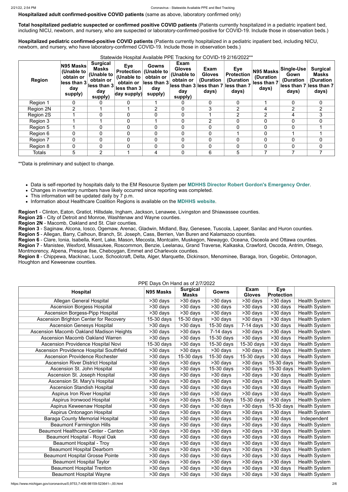**Hospitalized adult confirmed-positive COVID patients** (same as above, laboratory confirmed only)

**Total hospitalized pediatric suspected or confirmed positive COVID patients** (Patients currently hospitalized in a pediatric inpatient bed, including NICU, newborn, and nursery, who are suspected or laboratory-confirmed-positive for COVID-19. Include those in observation beds.)

**Hospitalized pediatric confirmed-positive COVID patients** (Patients currently hospitalized in a pediatric inpatient bed, including NICU, newborn, and nursery, who have laboratory-confirmed COVID-19. Include those in observation beds.)

| <b>Region</b> | N95 Masks<br>(Unable to<br>obtain or<br>less than 3<br>day<br>supply) | <b>Surgical</b><br><b>Masks</b><br>(Unable to<br>obtain or<br>less than 3<br>day<br>supply) | <b>Eye</b><br><b>Protection</b><br>(Unable to<br>obtain or<br>less than 3<br>day supply) | Gowns<br>(Unable to<br>obtain or<br>$\ $ less than 3<br>day<br>supply) | Exam<br><b>Gloves</b><br>(Unable to<br>obtain or<br>lless than 3 less than 7 less than 7<br>day<br>supply) | Exam<br><b>Gloves</b><br>(Duration<br>days) | Eye<br><b>Protection</b><br>(Duration<br>days) | N95 Masks<br>(Duration<br>less than 7<br>days) | Single-Use<br>Gown<br>(Duration<br>days) | <b>Surgical</b><br><b>Masks</b><br>(Duration<br>lless than 7 lless than 7<br>days) |
|---------------|-----------------------------------------------------------------------|---------------------------------------------------------------------------------------------|------------------------------------------------------------------------------------------|------------------------------------------------------------------------|------------------------------------------------------------------------------------------------------------|---------------------------------------------|------------------------------------------------|------------------------------------------------|------------------------------------------|------------------------------------------------------------------------------------|
| Region 1      | 0                                                                     |                                                                                             | 0                                                                                        |                                                                        |                                                                                                            | $\Omega$                                    |                                                |                                                | 0                                        | $\mathbf{0}$                                                                       |
| Region 2N     | $\overline{2}$                                                        |                                                                                             |                                                                                          | 2                                                                      | 0                                                                                                          | 3                                           | $\overline{2}$                                 | 4                                              | 2                                        | $\overline{2}$                                                                     |
| Region 2S     |                                                                       | 0                                                                                           | 0                                                                                        | $\mathbf 0$                                                            |                                                                                                            |                                             | $\overline{2}$                                 | $\overline{2}$                                 | 4                                        | 3                                                                                  |
| Region 3      |                                                                       |                                                                                             | $\overline{0}$                                                                           |                                                                        |                                                                                                            |                                             |                                                | 0                                              |                                          | $\Omega$                                                                           |
| Region 5      |                                                                       | 0                                                                                           | 0                                                                                        | $\mathbf 0$                                                            |                                                                                                            |                                             |                                                | $\overline{0}$                                 |                                          |                                                                                    |
| Region 6      | 0                                                                     | 0                                                                                           | 0                                                                                        | $\overline{0}$                                                         |                                                                                                            | $\Omega$                                    |                                                | 0                                              |                                          |                                                                                    |
| Region 7      | 0                                                                     | 0                                                                                           | $\overline{0}$                                                                           | $\mathbf 0$                                                            |                                                                                                            | $\Omega$                                    |                                                | $\overline{0}$                                 |                                          | $\overline{0}$                                                                     |
| Region 8      | $\Omega$                                                              | 0                                                                                           | 0                                                                                        | $\mathbf 0$                                                            | $\mathbf{0}$                                                                                               | $\overline{0}$                              |                                                | $\overline{0}$                                 | 0                                        | $\mathbf 0$                                                                        |
| <b>Totals</b> | 5                                                                     | $\overline{2}$                                                                              |                                                                                          | 4                                                                      |                                                                                                            | 6                                           | 5                                              |                                                |                                          |                                                                                    |

Statewide Hospital Available PPE Tracking for COVID-19 2/16/2002\*\*

\*\*Data is preliminary and subject to change.

- Data is self-reported by hospitals daily to the EM Resource System per **[MDHHS Director Robert Gordon's Emergency Order](https://www.michigan.gov/documents/coronavirus/MDHHS_epidemic_reporting_order_and_instructions_684709_7.pdf)**.
- Changes in inventory numbers have likely occurred since reporting was completed.
- This information will be updated daily by 7 p.m.
- Information about Healthcare Coalition Regions is available on the **[MDHHS website](https://www.michigan.gov/mdhhs/0,5885,7-339-71548_54783_54826_56171-237197--,00.html#hcc)**.

**Region1** - Clinton, Eaton, Gratiot, Hillsdale, Ingham, Jackson, Lenawee, Livingston and Shiawassee counties.

**Region 2S** - City of Detroit and Monroe, Washtenaw and Wayne counties.

**Region 2N** - Macomb, Oakland and St. Clair counties.

**Region 3** - Saginaw, Alcona, Iosco, Ogemaw, Arenac, Gladwin, Midland, Bay, Genesee, Tuscola, Lapeer, Sanilac and Huron counties.

**Region 5** - Allegan, Barry, Calhoun, Branch, St. Joseph, Cass, Berrien, Van Buren and Kalamazoo counties.

**Region 6** - Clare, Ionia, Isabella, Kent, Lake, Mason, Mecosta, Montcalm, Muskegon, Newaygo, Oceana, Osceola and Ottawa counties.

**Region 7** - Manistee, Wexford, Missaukee, Roscommon, Benzie, Leelanau, Grand Traverse, Kalkaska, Crawford, Oscoda, Antrim, Otsego, Montmorency, Alpena, Presque Ilse, Cheboygan, Emmet and Charlevoix counties.

**Region 8** - Chippewa, Mackinac, Luce, Schoolcraft, Delta, Alger, Marquette, Dickinson, Menominee, Baraga, Iron, Gogebic, Ontonagon, Houghton and Keweenaw counties.

PPE Days On Hand as of 2/7/2022

| <b>Hospital</b>                                 | FFL Days OIITIanu as OI ZITIZUZZ<br>N95 Masks | <b>Surgical</b><br><b>Masks</b> | <b>Gowns</b>             | <b>Exam</b><br><b>Gloves</b> | <b>Eye</b><br>Protection |                      |
|-------------------------------------------------|-----------------------------------------------|---------------------------------|--------------------------|------------------------------|--------------------------|----------------------|
| <b>Allegan General Hospital</b>                 | >30 days                                      | >30 days                        | >30 days                 | >30 days                     | $>30$ days               | <b>Health System</b> |
| <b>Ascension Borgess Hospital</b>               | >30 days                                      | >30 days                        | >30 days                 | >30 days                     | >30 days                 | <b>Health System</b> |
| <b>Ascension Borgess-Pipp Hospital</b>          | >30 days                                      | >30 days                        | >30 days                 | >30 days                     | >30 days                 | <b>Health System</b> |
| <b>Ascension Brighton Center for Recovery</b>   | 15-30 days                                    | 15-30 days                      | >30 days                 | >30 days                     | >30 days                 | <b>Health System</b> |
| <b>Ascension Genesys Hospital</b>               | >30 days                                      | $\overline{>30}$ days           | 15-30 days               | $\overline{7}$ -14 days      | >30 days                 | <b>Health System</b> |
| <b>Ascension Macomb Oakland Madison Heights</b> | >30 days                                      | $\overline{>30}$ days           | $\overline{7}$ -14 days  | $\overline{>30}$ days        | $>30$ days               | <b>Health System</b> |
| <b>Ascension Macomb Oakland Warren</b>          | $\overline{>30}$ days                         | $\overline{>30}$ days           | $15-30$ days             | $>30$ days                   | $>30$ days               | <b>Health System</b> |
| <b>Ascension Providence Hospital Novi</b>       | 15-30 days                                    | >30 days                        | 15-30 days               | 15-30 days                   | >30 days                 | <b>Health System</b> |
| Ascension Providence Hospital Southfield        | >30 days                                      | $\overline{>30}$ days           | >30 days                 | >30 days                     | >30 days                 | <b>Health System</b> |
| <b>Ascension Providence Rochester</b>           | >30 days                                      | $15-30$ days                    | $\overline{15}$ -30 days | 15-30 days                   | $>30$ days               | <b>Health System</b> |
| <b>Ascension River District Hospital</b>        | >30 days                                      | $\overline{>30}$ days           | $\overline{>30}$ days    | >30 days                     | $15-30$ days             | <b>Health System</b> |
| Ascension St. John Hospital                     | >30 days                                      | >30 days                        | 15-30 days               | >30 days                     | 15-30 days               | <b>Health System</b> |
| Ascension St. Joseph Hospital                   | >30 days                                      | >30 days                        | >30 days                 | >30 days                     | >30 days                 | <b>Health System</b> |
| Ascension St. Mary's Hospital                   | >30 days                                      | $\overline{>30}$ days           | $\overline{>30}$ days    | >30 days                     | $\overline{>30}$ days    | <b>Health System</b> |
| <b>Ascension Standish Hospital</b>              | >30 days                                      | >30 days                        | $\overline{>30}$ days    | >30 days                     | $\overline{>30}$ days    | <b>Health System</b> |
| <b>Aspirus Iron River Hospital</b>              | >30 days                                      | >30 days                        | $\overline{>}30$ days    | $>30$ days                   | $\overline{>30}$ days    | <b>Health System</b> |
| Aspirus Ironwood Hospital                       | >30 days                                      | >30 days                        | 15-30 days               | 15-30 days                   | >30 days                 | <b>Health System</b> |
| <b>Aspirus Keweenaw Hospital</b>                | >30 days                                      | >30 days                        | >30 days                 | >30 days                     | 15-30 days               | <b>Health System</b> |
| Aspirus Ontonagon Hospital                      | >30 days                                      | >30 days                        | >30 days                 | >30 days                     | >30 days                 | <b>Health System</b> |
| <b>Baraga County Memorial Hospital</b>          | >30 days                                      | $>30$ days                      | $>30$ days               | >30 days                     | >30 days                 | Independent          |
| <b>Beaumont Farmington Hills</b>                | >30 days                                      | $>30$ days                      | $>30$ days               | >30 days                     | $>30$ days               | <b>Health System</b> |
| <b>Beaumont Healthcare Center - Canton</b>      | >30 days                                      | >30 days                        | >30 days                 | $>30$ days                   | >30 days                 | <b>Health System</b> |
| Beaumont Hospital - Royal Oak                   | >30 days                                      | >30 days                        | >30 days                 | >30 days                     | >30 days                 | <b>Health System</b> |
| <b>Beaumont Hospital - Troy</b>                 | >30 days                                      | >30 days                        | >30 days                 | >30 days                     | >30 days                 | <b>Health System</b> |
| <b>Beaumont Hospital Dearborn</b>               | >30 days                                      | >30 days                        | >30 days                 | >30 days                     | >30 days                 | <b>Health System</b> |
| <b>Beaumont Hospital Grosse Pointe</b>          | >30 days                                      | $>30$ days                      | >30 days                 | >30 days                     | >30 days                 | <b>Health System</b> |
| <b>Beaumont Hospital Taylor</b>                 | >30 days                                      | >30 days                        | >30 days                 | >30 days                     | >30 days                 | <b>Health System</b> |
| <b>Beaumont Hospital Trenton</b>                | >30 days                                      | >30 days                        | >30 days                 | >30 days                     | >30 days                 | <b>Health System</b> |
| <b>Beaumont Hospital Wayne</b>                  | >30 days                                      | >30 days                        | >30 days                 | >30 days                     | >30 days                 | <b>Health System</b> |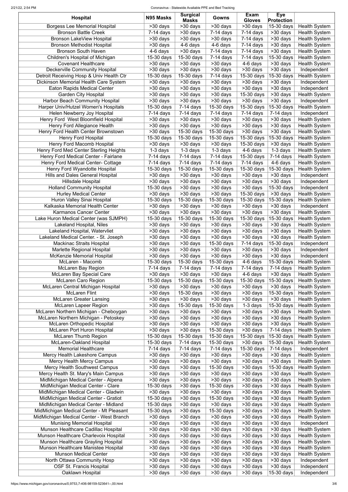#### 2/21/22, 2:54 PM Coronavirus - Statewide Available PPE and Bed Tracking

| <b>Hospital</b>                                          | N95 Masks                | <b>Surgical</b><br><b>Masks</b> | Gowns                              | Exam<br><b>Gloves</b>    | <b>Eye</b><br><b>Protection</b> |                            |
|----------------------------------------------------------|--------------------------|---------------------------------|------------------------------------|--------------------------|---------------------------------|----------------------------|
| <b>Borgess Lee Memorial Hospital</b>                     | >30 days                 | >30 days                        | $>30$ days                         | >30 days                 | $15-30$ days                    | <b>Health System</b>       |
| <b>Bronson Battle Creek</b>                              | $7-14$ days              | >30 days                        | $\overline{7}$ -14 days            | $7-14$ days              | >30 days                        | <b>Health System</b>       |
| <b>Bronson LakeView Hospital</b>                         | >30 days                 | >30 days                        | >30 days                           | $7-14$ days              | >30 days                        | <b>Health System</b>       |
| <b>Bronson Methodist Hospital</b>                        | >30 days                 | $4-6$ days                      | 4-6 days                           | $7-14$ days              | >30 days                        | <b>Health System</b>       |
| <b>Bronson South Haven</b>                               | $\overline{4}$ -6 days   | $>30$ days                      | $\overline{7}$ -14 days            | $\overline{7}$ -14 days  | >30 days                        | <b>Health System</b>       |
| Children's Hospital of Michigan                          | $15-30$ days             | 15-30 days                      | $7-14$ days                        | $7-14$ days              | 15-30 days                      | <b>Health System</b>       |
| <b>Covenant Healthcare</b>                               | >30 days                 | >30 days                        | >30 days                           | 4-6 days                 | >30 days                        | <b>Health System</b>       |
| <b>Deckerville Community Hospital</b>                    | $>30$ days               | $>30$ days                      | >30 days                           | >30 days                 | >30 days                        | Independent                |
| Detroit Receiving Hosp & Univ Health Ctr                 | 15-30 days               | 15-30 days                      | $7-14$ days                        | 15-30 days               | 15-30 days                      | <b>Health System</b>       |
| Dickinson Memorial Health Care System                    | >30 days                 | >30 days                        | >30 days                           | >30 days                 | >30 days                        | Independent                |
| <b>Eaton Rapids Medical Center</b>                       | >30 days                 | >30 days                        | >30 days                           | $>30$ days               | >30 days                        | Independent                |
| <b>Garden City Hospital</b>                              | >30 days                 | >30 days                        | >30 days                           | 15-30 days               | >30 days                        | <b>Health System</b>       |
| <b>Harbor Beach Community Hospital</b>                   | >30 days                 | >30 days                        | $>30$ days                         | >30 days                 | >30 days                        | Independent                |
| Harper Univ/Hutzel Women's Hospitals                     | 15-30 days               | $7-14$ days                     | 15-30 days                         | 15-30 days               | 15-30 days                      | <b>Health System</b>       |
| Helen Newberry Joy Hospital                              | $7-14$ days              | $7-14$ days                     | $7-14$ days                        | $\overline{7}$ -14 days  | $\overline{7}$ -14 days         | Independent                |
| Henry Ford West Bloomfield Hospital                      | >30 days                 | >30 days                        | >30 days                           | >30 days                 | >30 days                        | <b>Health System</b>       |
| Henry Ford Allegiance Health                             | >30 days                 | >30 days                        | $>30$ days                         | >30 days                 | >30 days                        | <b>Health System</b>       |
| Henry Ford Health Center Brownstown                      | >30 days                 | 15-30 days                      | $15-30$ days                       | >30 days                 | >30 days                        | <b>Health System</b>       |
| <b>Henry Ford Hospital</b>                               | 15-30 days               | 15-30 days                      | 15-30 days                         | $15-30$ days             | 15-30 days                      | <b>Health System</b>       |
| Henry Ford Macomb Hospital                               | $>30$ days               | $\overline{>30}$ days           | >30 days                           | $\overline{15}$ -30 days | >30 days                        | <b>Health System</b>       |
| Henry Ford Med Center Sterling Heights                   | $1-3$ days               | $1-3$ days                      | $1-3$ days                         | 4-6 days                 | $\overline{1}$ -3 days          | <b>Health System</b>       |
| Henry Ford Medical Center - Fairlane                     | $\overline{7}$ -14 days  | $7-14$ days                     | $7-14$ days                        | $\overline{15}$ -30 days | $7-14$ days                     | <b>Health System</b>       |
| <b>Henry Ford Medical Center- Cottage</b>                | $\overline{7-14}$ days   | $\overline{7}$ -14 days         | $\overline{7-14}$ days             | $7-14$ days              | 4-6 days                        | <b>Health System</b>       |
| Henry Ford Wyandotte Hospital                            | 15-30 days               | 15-30 days                      | $\overline{15}$ -30 days           | 15-30 days               | $15-30$ days                    | <b>Health System</b>       |
| <b>Hills and Dales General Hospital</b>                  | $>30$ days               | >30 days                        | >30 days                           | $\overline{>30}$ days    | >30 days                        | Independent                |
| <b>Hillsdale Hospital</b>                                | $>30$ days               | $\overline{>30}$ days           | $>30$ days                         | $>30$ days               | $>30$ days                      | Independent                |
| <b>Holland Community Hospital</b>                        | 15-30 days               | $\overline{>30}$ days           | >30 days                           | >30 days                 | 15-30 days                      | Independent                |
| <b>Hurley Medical Center</b>                             | $\overline{>30}$ days    | $\overline{>30}$ days           | $\overline{>30}$ days              | $15-30$ days             | $>30$ days                      | <b>Health System</b>       |
| Huron Valley Sinai Hospital                              | 15-30 days               | $\overline{15}$ -30 days        | $\overline{15}$ -30 days           | $\overline{15}$ -30 days | 15-30 days                      | <b>Health System</b>       |
| Kalkaska Memorial Health Center                          | $>30$ days               | $>30$ days                      | >30 days                           | >30 days                 | $>30$ days                      | Independent                |
| Karmanos Cancer Center                                   | >30 days                 | >30 days                        | $\overline{>30}$ days              | $\overline{>30}$ days    | $\overline{>30}$ days           | <b>Health System</b>       |
| Lake Huron Medical Center (was SJMPH)                    | 15-30 days               | 15-30 days                      | 15-30 days                         | 15-30 days               | 15-30 days                      | <b>Health System</b>       |
| <b>Lakeland Hospital, Niles</b>                          | >30 days                 | >30 days                        | >30 days                           | >30 days                 | >30 days                        | <b>Health System</b>       |
| <b>Lakeland Hospital, Watervliet</b>                     | $>30$ days               | >30 days                        | >30 days                           | >30 days                 | >30 days                        | <b>Health System</b>       |
| Lakeland Medical Center. - St. Joseph                    | >30 days                 | >30 days                        | >30 days                           | >30 days                 | >30 days                        | <b>Health System</b>       |
| <b>Mackinac Straits Hospital</b>                         | $>30$ days               | >30 days                        | 15-30 days                         | $7-14$ days              | 15-30 days                      | Independent                |
| Marlette Regional Hospital<br>McKenzie Memorial Hospital | $>30$ days<br>$>30$ days | $>30$ days<br>>30 days          | $>30$ days                         | >30 days                 | >30 days                        | Independent<br>Independent |
| McLaren - Macomb                                         | $15-30$ days             | 15-30 days                      | >30 days<br>15-30 days             | >30 days<br>4-6 days     | >30 days<br>15-30 days          | <b>Health System</b>       |
| <b>McLaren Bay Region</b>                                | $7-14$ days              | $7-14$ days                     | $7-14$ days                        | $7-14$ days              | $7-14$ days                     | <b>Health System</b>       |
| <b>McLaren Bay Special Care</b>                          | >30 days                 | >30 days                        | $>30$ days                         | 4-6 days                 | >30 days                        | <b>Health System</b>       |
| <b>McLaren Caro Region</b>                               | 15-30 days               | 15-30 days                      | 15-30 days                         | 15-30 days               | 15-30 days                      | <b>Health System</b>       |
| McLaren Central Michigan Hospital                        | >30 days                 | >30 days                        | $>30$ days                         | >30 days                 | $>30$ days                      | <b>Health System</b>       |
| <b>McLaren Flint</b>                                     | $>30$ days               | 15-30 days                      | >30 days                           | >30 days                 | 15-30 days                      | <b>Health System</b>       |
| <b>McLaren Greater Lansing</b>                           | >30 days                 | >30 days                        | $>30$ days                         | >30 days                 | $>30$ days                      | <b>Health System</b>       |
| <b>McLaren Lapeer Region</b>                             | $>30$ days               | 15-30 days                      | 15-30 days                         | 1-3 days                 | 15-30 days                      | <b>Health System</b>       |
| McLaren Northern Michigan - Cheboygan                    | >30 days                 | >30 days                        | $>30$ days                         | >30 days                 | >30 days                        | <b>Health System</b>       |
| McLaren Northern Michigan - Petoskey                     | >30 days                 | >30 days                        | $\overline{\phantom{1}}$ > 30 days | >30 days                 | >30 days                        | <b>Health System</b>       |
| <b>McLaren Orthopedic Hospital</b>                       | $\overline{>30}$ days    | $\overline{>30}$ days           | $>30$ days                         | >30 days                 | $\overline{>30}$ days           | <b>Health System</b>       |
| <b>McLaren Port Huron Hospital</b>                       | >30 days                 | >30 days                        | $\overline{15}$ -30 days           | >30 days                 | $7-14$ days                     | <b>Health System</b>       |
| <b>McLaren Thumb Region</b>                              | $\overline{15}$ -30 days | $\overline{15}$ -30 days        | $15-30$ days                       | 15-30 days               | $15-30$ days                    | <b>Health System</b>       |
| <b>McLaren-Oakland Hospital</b>                          | $15-30$ days             | $\overline{7}$ -14 days         | $\overline{15}$ -30 days           | >30 days                 | 15-30 days                      | <b>Health System</b>       |
| <b>Memorial Healthcare</b>                               | $\overline{7}$ -14 days  | $7-14$ days                     | $7-14$ days                        | 15-30 days               | $7-14$ days                     | Independent                |
| Mercy Health Lakeshore Campus                            | >30 days                 | $>30$ days                      | >30 days                           | >30 days                 | >30 days                        | <b>Health System</b>       |
| <b>Mercy Health Mercy Campus</b>                         | >30 days                 | >30 days                        | $\overline{>30}$ days              | >30 days                 | $\overline{>30}$ days           | <b>Health System</b>       |
| <b>Mercy Health Southwest Campus</b>                     | >30 days                 | >30 days                        | 15-30 days                         | >30 days                 | $15-30$ days                    | <b>Health System</b>       |
| Mercy Health St. Mary's Main Campus                      | >30 days                 | $\overline{>30}$ days           | >30 days                           | >30 days                 | >30 days                        | <b>Health System</b>       |
| MidMichigan Medical Center - Alpena                      | >30 days                 | $>30$ days                      | $>30$ days                         | >30 days                 | >30 days                        | <b>Health System</b>       |
| MidMichigan Medical Center - Clare                       | 15-30 days               | >30 days                        | 15-30 days                         | >30 days                 | >30 days                        | <b>Health System</b>       |
| MidMichigan Medical Center - Gladwin                     | >30 days                 | >30 days                        | >30 days                           | >30 days                 | >30 days                        | <b>Health System</b>       |
| MidMichigan Medical Center - Gratiot                     | 15-30 days               | >30 days                        | 15-30 days                         | >30 days                 | >30 days                        | <b>Health System</b>       |
| MidMichigan Medical Center - Midland                     | 15-30 days               | >30 days                        | >30 days                           | >30 days                 | >30 days                        | <b>Health System</b>       |
| MidMichigan Medical Center - Mt Pleasant                 | 15-30 days               | >30 days                        | 15-30 days                         | >30 days                 | >30 days                        | <b>Health System</b>       |
| MidMichigan Medical Center - West Branch                 | >30 days                 | >30 days                        | >30 days                           | >30 days                 | >30 days                        | <b>Health System</b>       |
| <b>Munising Memorial Hospital</b>                        | >30 days                 | >30 days                        | >30 days                           | >30 days                 | >30 days                        | Independent                |
| Munson Healthcare Cadillac Hospital                      | >30 days                 | >30 days                        | >30 days                           | >30 days                 | >30 days                        | <b>Health System</b>       |
| Munson Healthcare Charlevoix Hospital                    | >30 days                 | >30 days                        | >30 days                           | >30 days                 | >30 days                        | <b>Health System</b>       |
| Munson Healthcare Grayling Hospital                      | >30 days                 | >30 days                        | >30 days                           | >30 days                 | >30 days                        | <b>Health System</b>       |
| Munson Healthcare Manistee Hospital                      | >30 days                 | >30 days                        | >30 days                           | >30 days                 | >30 days                        | <b>Health System</b>       |
| <b>Munson Medical Center</b>                             | >30 days                 | >30 days                        | >30 days                           | >30 days                 | >30 days                        | <b>Health System</b>       |
| North Ottawa Community Hosp                              | >30 days                 | >30 days                        | >30 days                           | >30 days                 | >30 days                        | Independent                |
| <b>OSF St. Francis Hospital</b>                          | >30 days                 | >30 days                        | >30 days                           | >30 days                 | >30 days                        | Independent                |
| Oaklawn Hospital                                         | >30 days                 | >30 days                        | >30 days                           | >30 days                 | 15-30 days                      | Independent                |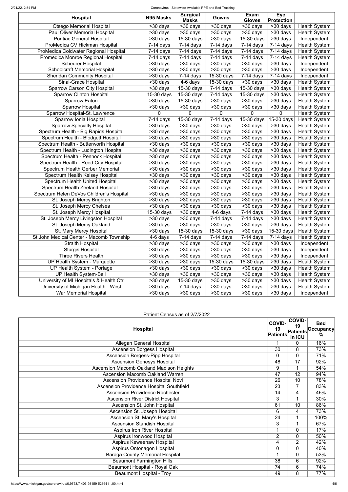#### 2/21/22, 2:54 PM Coronavirus - Statewide Available PPE and Bed Tracking

#### **Hospital COVID-19 Patients COVID-19 Patients in ICU Bed Occupancy %** Allegan General Hospital 1 0 16% Ascension Borgess Hospital 20 8 73% Ascension Borgess-Pipp Hospital 1994 10 0 0 71%<br>
Ascension Genesys Hospital 1994 17 92% Ascension Genesys Hospital **48 17** 92% and 48 17 92% and 48 17 92% and 48 17 92% and 48 17 92% and 48 17 92% and 47 92% and 47 92% and 47 92% and 47 92% and 47 92% and 47 92% and 47 92% and 47 92% and 47 92% and 47 92% and Ascension Macomb Oakland Madison Heights **19 1 1 54%**

| <b>Hospital</b>                          | N95 Masks               | <b>Surgical</b><br><b>Masks</b> | Gowns                   | Exam<br><b>Gloves</b>   | <b>Eye</b><br><b>Protection</b>    |                      |
|------------------------------------------|-------------------------|---------------------------------|-------------------------|-------------------------|------------------------------------|----------------------|
| <b>Otsego Memorial Hospital</b>          | $>30$ days              | $\overline{>30}$ days           | >30 days                | >30 days                | >30 days                           | <b>Health System</b> |
| Paul Oliver Memorial Hospital            | >30 days                | >30 days                        | $\overline{>30}$ days   | >30 days                | >30 days                           | <b>Health System</b> |
| <b>Pontiac General Hospital</b>          | >30 days                | 15-30 days                      | >30 days                | 15-30 days              | >30 days                           | Independent          |
| ProMedica CV Hickman Hospital            | $7-14$ days             | $7-14$ days                     | $7-14$ days             | $7-14$ days             | $7-14$ days                        | <b>Health System</b> |
| ProMedica Coldwater Regional Hospital    | $\overline{7}$ -14 days | $\overline{7}$ -14 days         | $7-14$ days             | $\overline{7}$ -14 days | $7-14$ days                        | <b>Health System</b> |
| Promedica Monroe Regional Hospital       | $7-14$ days             | $7-14$ days                     | $7-14$ days             | $7-14$ days             | $7-14$ days                        | <b>Health System</b> |
| <b>Scheurer Hospital</b>                 | $>30$ days              | $>30$ days                      | >30 days                | >30 days                | >30 days                           | Independent          |
| Schoolcraft Memorial Hospital            | >30 days                | >30 days                        | $>30$ days              | $>30$ days              | >30 days                           | Independent          |
| <b>Sheridan Community Hospital</b>       | >30 days                | $\overline{7}$ -14 days         | 15-30 days              | $\overline{7}$ -14 days | $7-14$ days                        | Independent          |
| Sinai-Grace Hospital                     | >30 days                | 4-6 days                        | 15-30 days              | >30 days                | >30 days                           | <b>Health System</b> |
| <b>Sparrow Carson City Hospital</b>      | >30 days                | 15-30 days                      | $7-14$ days             | $15-30$ days            | >30 days                           | <b>Health System</b> |
| <b>Sparrow Clinton Hospital</b>          | 15-30 days              | 15-30 days                      | $7-14$ days             | 15-30 days              | >30 days                           | <b>Health System</b> |
| <b>Sparrow Eaton</b>                     | $>30$ days              | 15-30 days                      | >30 days                | >30 days                | $\overline{\phantom{1}}$ > 30 days | <b>Health System</b> |
| <b>Sparrow Hospital</b>                  | >30 days                | >30 days                        | >30 days                | >30 days                | >30 days                           | <b>Health System</b> |
| Sparrow Hospital-St. Lawrence            | 0                       | $\overline{0}$                  | $\Omega$                | 0                       | 0                                  | <b>Health System</b> |
| Sparrow Ionia Hospital                   | $7-14$ days             | 15-30 days                      | $\overline{7}$ -14 days | 15-30 days              | 15-30 days                         | <b>Health System</b> |
| <b>Sparrow Specialty Hospital</b>        | $>30$ days              | >30 days                        | >30 days                | >30 days                | $\overline{\phantom{1}}$ > 30 days | <b>Health System</b> |
| Spectrum Health - Big Rapids Hospital    | >30 days                | >30 days                        | >30 days                | >30 days                | >30 days                           | <b>Health System</b> |
| Spectrum Health - Blodgett Hospital      | $\overline{>30}$ days   | >30 days                        | >30 days                | $\overline{>30}$ days   | $>30$ days                         | <b>Health System</b> |
| Spectrum Health - Butterworth Hospital   | $\overline{>30}$ days   | $\overline{>30}$ days           | $\overline{>30}$ days   | $\overline{>30}$ days   | $>30$ days                         | <b>Health System</b> |
| Spectrum Health - Ludington Hospital     | >30 days                | >30 days                        | >30 days                | >30 days                | $\overline{>30}$ days              | <b>Health System</b> |
| Spectrum Health - Pennock Hospital       | >30 days                | >30 days                        | >30 days                | >30 days                | >30 days                           | <b>Health System</b> |
| Spectrum Health - Reed City Hospital     | >30 days                | >30 days                        | >30 days                | $\overline{>30}$ days   | $>30$ days                         | <b>Health System</b> |
| Spectrum Health Gerber Memorial          | $\overline{>30}$ days   | >30 days                        | $\overline{>30}$ days   | $\overline{>30}$ days   | $>30$ days                         | <b>Health System</b> |
| Spectrum Health Kelsey Hospital          | >30 days                | >30 days                        | >30 days                | >30 days                | $\overline{>30}$ days              | <b>Health System</b> |
| <b>Spectrum Health United Hospital</b>   | >30 days                | >30 days                        | >30 days                | >30 days                | >30 days                           | <b>Health System</b> |
| <b>Spectrum Health Zeeland Hospital</b>  | $\overline{>30}$ days   | $>30$ days                      | >30 days                | $\overline{>30}$ days   | $>30$ days                         | <b>Health System</b> |
| Spectrum Helen DeVos Children's Hospital | $\overline{>}30$ days   | $\overline{>30}$ days           | $\overline{>30}$ days   | $\overline{>30}$ days   | $\overline{\smash{>}}30$ days      | <b>Health System</b> |
| St. Joseph Mercy Brighton                | $>30$ days              | $\overline{>30}$ days           | >30 days                | >30 days                | >30 days                           | <b>Health System</b> |
| St. Joseph Mercy Chelsea                 | >30 days                | >30 days                        | >30 days                | $\overline{>30}$ days   | $>30$ days                         | <b>Health System</b> |
| St. Joseph Mercy Hospital                | 15-30 days              | >30 days                        | 4-6 days                | $7-14$ days             | $>30$ days                         | <b>Health System</b> |
| St. Joseph Mercy Livingston Hospital     | >30 days                | >30 days                        | $7-14$ days             | 7-14 days               | >30 days                           | <b>Health System</b> |
| St. Joseph Mercy Oakland                 | >30 days                | >30 days                        | >30 days                | >30 days                | $>30$ days                         | <b>Health System</b> |
| St. Mary Mercy Hospital                  | >30 days                | 15-30 days                      | 15-30 days              | >30 days                | 15-30 days                         | <b>Health System</b> |
| St.John Medical Center - Macomb Township | 4-6 days                | $7-14$ days                     | $7-14$ days             | $7-14$ days             | $7-14$ days                        | <b>Health System</b> |
| <b>Straith Hospital</b>                  | >30 days                | >30 days                        | >30 days                | >30 days                | >30 days                           | Independent          |
| <b>Sturgis Hospital</b>                  | >30 days                | >30 days                        | >30 days                | >30 days                | $>30$ days                         | Independent          |
| <b>Three Rivers Health</b>               | >30 days                | >30 days                        | >30 days                | >30 days                | >30 days                           | Independent          |
| UP Health System - Marquette             | >30 days                | $>30$ days                      | 15-30 days              | 15-30 days              | >30 days                           | <b>Health System</b> |
| UP Health System - Portage               | >30 days                | >30 days                        | >30 days                | >30 days                | >30 days                           | <b>Health System</b> |
| <b>UP Health System-Bell</b>             | >30 days                | >30 days                        | >30 days                | >30 days                | >30 days                           | <b>Health System</b> |
| University of MI Hospitals & Health Ctr  | >30 days                | 15-30 days                      | >30 days                | >30 days                | >30 days                           | <b>Health System</b> |
| University of Michigan Health - West     | >30 days                | $7-14$ days                     | >30 days                | >30 days                | $>30$ days                         | <b>Health System</b> |
| War Memorial Hospital                    | >30 days                | >30 days                        | >30 days                | >30 days                | >30 days                           | Independent          |

### Patient Census as of 2/7/2022

| <b>Ascension Macomb Oakland Warren</b>          | 47             | 12               | 94%  |
|-------------------------------------------------|----------------|------------------|------|
| Ascension Providence Hospital Novi              | 26             | 10               | 78%  |
| <b>Ascension Providence Hospital Southfield</b> | 23             |                  | 83%  |
| <b>Ascension Providence Rochester</b>           | 14             | $\overline{4}$   | 46%  |
| <b>Ascension River District Hospital</b>        | 3              |                  | 30%  |
| Ascension St. John Hospital                     | 61             | 10               | 86%  |
| Ascension St. Joseph Hospital                   | 6              | $\overline{4}$   | 73%  |
| Ascension St. Mary's Hospital                   | 24             |                  | 100% |
| <b>Ascension Standish Hospital</b>              | 3              |                  | 67%  |
| <b>Aspirus Iron River Hospital</b>              |                | $\mathbf 0$      | 17%  |
| Aspirus Ironwood Hospital                       | $\overline{2}$ | $\overline{0}$   | 50%  |
| <b>Aspirus Keweenaw Hospital</b>                | 4              | $\overline{2}$   | 42%  |
| Aspirus Ontonagon Hospital                      | 0              | $\overline{0}$   | 40%  |
| <b>Baraga County Memorial Hospital</b>          |                | $\overline{0}$   | 53%  |
| <b>Beaumont Farmington Hills</b>                | 38             | $6 \overline{6}$ | 92%  |
| Beaumont Hospital - Royal Oak                   | 74             | 6                | 74%  |
| <b>Beaumont Hospital - Troy</b>                 | 49             | 8                | 77%  |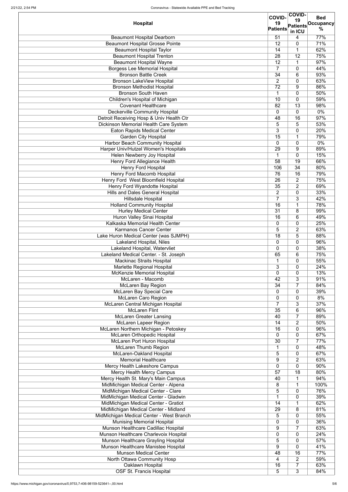|                                              |                     | <b>COVID-</b>       | <b>Bed</b> |
|----------------------------------------------|---------------------|---------------------|------------|
| <b>Hospital</b>                              | <b>COVID-</b><br>19 | 19                  | Occupancy  |
|                                              | <b>Patients</b>     | <b>Patients</b>     | %          |
|                                              | $\overline{51}$     | in ICU              | 77%        |
| <b>Beaumont Hospital Dearborn</b>            |                     | 4                   |            |
| <b>Beaumont Hospital Grosse Pointe</b>       | 12                  | 0                   | 71%        |
| <b>Beaumont Hospital Taylor</b>              | 14                  | 1                   | 62%        |
| <b>Beaumont Hospital Trenton</b>             | 28                  | 12                  | 75%        |
| <b>Beaumont Hospital Wayne</b>               | 12                  | $\mathbf 1$         | 97%        |
| <b>Borgess Lee Memorial Hospital</b>         | $\overline{7}$      | 0                   | 44%        |
| <b>Bronson Battle Creek</b>                  | 34                  | 6                   | 93%        |
| Bronson LakeView Hospital                    | $\overline{2}$      | 0                   | 63%        |
| <b>Bronson Methodist Hospital</b>            | 72                  | 9                   | 86%        |
| <b>Bronson South Haven</b>                   | 1                   | 0                   | 50%        |
| Children's Hospital of Michigan              | 10                  | 0                   | 59%        |
| <b>Covenant Healthcare</b>                   | 82                  | 13                  | 98%        |
| <b>Deckerville Community Hospital</b>        | 0                   | 0                   | $0\%$      |
| Detroit Receiving Hosp & Univ Health Ctr     | 48                  | 16                  | 97%        |
| <b>Dickinson Memorial Health Care System</b> | 5                   | 5                   | 53%        |
| <b>Eaton Rapids Medical Center</b>           | 3                   | 0                   | 20%        |
| <b>Garden City Hospital</b>                  | $\overline{15}$     | 1                   | 79%        |
| <b>Harbor Beach Community Hospital</b>       | $\Omega$            | 0                   | $0\%$      |
| Harper Univ/Hutzel Women's Hospitals         | 29                  | 9                   | 89%        |
| Helen Newberry Joy Hospital                  | 1                   | $\overline{0}$      | 15%        |
| Henry Ford Allegiance Health                 | 58                  | $\overline{19}$     | 66%        |
| <b>Henry Ford Hospital</b>                   | 106                 | 34                  | 80%        |
| <b>Henry Ford Macomb Hospital</b>            | 76                  | 16                  | 79%        |
| Henry Ford West Bloomfield Hospital          | 26                  | 2                   | 75%        |
| <b>Henry Ford Wyandotte Hospital</b>         | 35                  | $\overline{2}$      | 69%        |
| <b>Hills and Dales General Hospital</b>      | $\overline{2}$      | 0                   | 33%        |
|                                              | $\overline{7}$      |                     |            |
| <b>Hillsdale Hospital</b>                    |                     | 3                   | 42%        |
| <b>Holland Community Hospital</b>            | 16                  | 1                   | 78%        |
| <b>Hurley Medical Center</b>                 | $\overline{31}$     | 8                   | 99%        |
| <b>Huron Valley Sinai Hospital</b>           | 16                  | 6                   | 49%        |
| Kalkaska Memorial Health Center              | 0                   | 0                   | 25%        |
| <b>Karmanos Cancer Center</b>                | 5                   | $\overline{2}$      | 63%        |
| Lake Huron Medical Center (was SJMPH)        | 18                  | 5                   | 88%        |
| Lakeland Hospital, Niles                     | $\Omega$            | $\mathbf{0}$        | 96%        |
| Lakeland Hospital, Watervliet                | 0                   | 0                   | 38%        |
| Lakeland Medical Center. - St. Joseph        | 65                  | 6                   | 75%        |
| <b>Mackinac Straits Hospital</b>             |                     | 0                   | 55%        |
| Marlette Regional Hospital                   | 3                   | $\mathbf{0}$        | 24%        |
| <b>McKenzie Memorial Hospital</b>            | $\overline{0}$      | 0                   | 13%        |
| McLaren - Macomb                             | 42                  | 3                   | 91%        |
| <b>McLaren Bay Region</b>                    | 34                  | $\overline{7}$      | 84%        |
| <b>McLaren Bay Special Care</b>              | $\Omega$            | $\mathbf{0}$        | 39%        |
| <b>McLaren Caro Region</b>                   | 0                   | 0                   | 8%         |
| McLaren Central Michigan Hospital            | $\overline{7}$      | 3                   | 37%        |
| <b>McLaren Flint</b>                         | 35                  | 6                   | 96%        |
| <b>McLaren Greater Lansing</b>               | 40                  | $\overline{7}$      | 89%        |
| <b>McLaren Lapeer Region</b>                 | 14                  | $\overline{2}$      | 50%        |
| McLaren Northern Michigan - Petoskey         | 16                  | 0                   | 96%        |
| <b>McLaren Orthopedic Hospital</b>           | 0                   | 0                   | 67%        |
| <b>McLaren Port Huron Hospital</b>           | 30                  | $\overline{7}$      | 77%        |
| <b>McLaren Thumb Region</b>                  |                     | 0                   | 48%        |
| <b>McLaren-Oakland Hospital</b>              | 5                   | 0                   | 67%        |
| <b>Memorial Healthcare</b>                   | 9                   |                     |            |
| Mercy Health Lakeshore Campus                | $\overline{0}$      | 2<br>$\overline{0}$ | 63%<br>90% |
|                                              |                     |                     |            |
| <b>Mercy Health Mercy Campus</b>             | 57                  | 18                  | 80%        |
| Mercy Health St. Mary's Main Campus          | 40                  | 1<br>$\overline{A}$ | 94%        |
| MidMichigan Medical Center - Alpena          | 8                   |                     | 100%       |
| MidMichigan Medical Center - Clare           | 5                   | $\Omega$            | 76%        |
| MidMichigan Medical Center - Gladwin         |                     | 0                   | 39%        |
| MidMichigan Medical Center - Gratiot         | 14                  | 1                   | 62%        |
| MidMichigan Medical Center - Midland         | 29                  | 8                   | 81%        |
| MidMichigan Medical Center - West Branch     | 5                   | 0                   | 55%        |
| <b>Munising Memorial Hospital</b>            | $\overline{0}$      | 0                   | 36%        |
| Munson Healthcare Cadillac Hospital          | 9                   | $\overline{7}$      | 63%        |
| Munson Healthcare Charlevoix Hospital        | $\overline{0}$      | 0                   | 24%        |
| Munson Healthcare Grayling Hospital          | 5                   | 0                   | 57%        |
| Munson Healthcare Manistee Hospital          | 9                   | 0                   | 41%        |
| <b>Munson Medical Center</b>                 | 48                  | 16                  | 77%        |
| North Ottawa Community Hosp                  | 4                   | 2                   | 59%        |
| Oaklawn Hospital                             | 16                  | $\overline{7}$      | 63%        |
| <b>OSF St. Francis Hospital</b>              | 5                   | 3                   | 84%        |
|                                              |                     |                     |            |